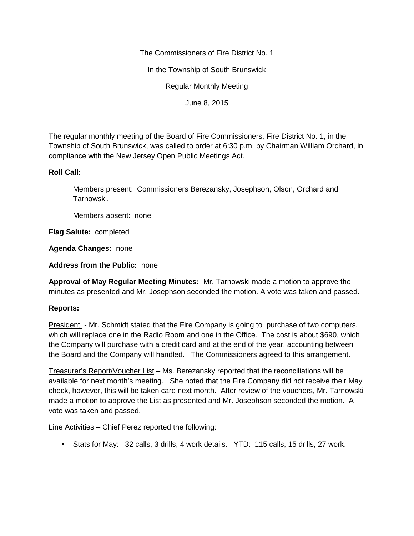The Commissioners of Fire District No. 1

In the Township of South Brunswick

Regular Monthly Meeting

June 8, 2015

The regular monthly meeting of the Board of Fire Commissioners, Fire District No. 1, in the Township of South Brunswick, was called to order at 6:30 p.m. by Chairman William Orchard, in compliance with the New Jersey Open Public Meetings Act.

## **Roll Call:**

Members present: Commissioners Berezansky, Josephson, Olson, Orchard and Tarnowski.

Members absent: none

**Flag Salute:** completed

**Agenda Changes:** none

**Address from the Public:** none

**Approval of May Regular Meeting Minutes:** Mr. Tarnowski made a motion to approve the minutes as presented and Mr. Josephson seconded the motion. A vote was taken and passed.

## **Reports:**

President - Mr. Schmidt stated that the Fire Company is going to purchase of two computers, which will replace one in the Radio Room and one in the Office. The cost is about \$690, which the Company will purchase with a credit card and at the end of the year, accounting between the Board and the Company will handled. The Commissioners agreed to this arrangement.

Treasurer's Report/Voucher List – Ms. Berezansky reported that the reconciliations will be available for next month's meeting. She noted that the Fire Company did not receive their May check, however, this will be taken care next month. After review of the vouchers, Mr. Tarnowski made a motion to approve the List as presented and Mr. Josephson seconded the motion. A vote was taken and passed.

Line Activities – Chief Perez reported the following:

Stats for May: 32 calls, 3 drills, 4 work details. YTD: 115 calls, 15 drills, 27 work.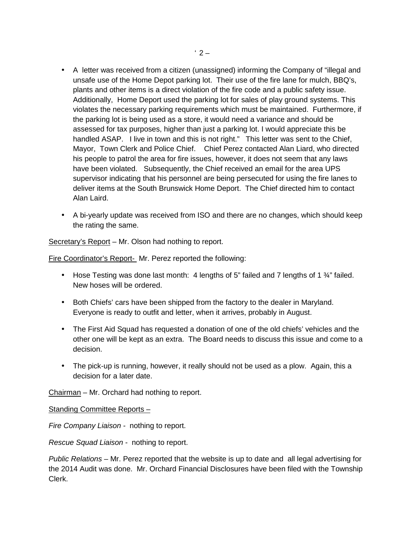- A letter was received from a citizen (unassigned) informing the Company of "illegal and unsafe use of the Home Depot parking lot. Their use of the fire lane for mulch, BBQ's, plants and other items is a direct violation of the fire code and a public safety issue. Additionally, Home Deport used the parking lot for sales of play ground systems. This violates the necessary parking requirements which must be maintained. Furthermore, if the parking lot is being used as a store, it would need a variance and should be assessed for tax purposes, higher than just a parking lot. I would appreciate this be handled ASAP. I live in town and this is not right." This letter was sent to the Chief, Mayor, Town Clerk and Police Chief. Chief Perez contacted Alan Liard, who directed his people to patrol the area for fire issues, however, it does not seem that any laws have been violated. Subsequently, the Chief received an email for the area UPS supervisor indicating that his personnel are being persecuted for using the fire lanes to deliver items at the South Brunswick Home Deport. The Chief directed him to contact Alan Laird.
- A bi-yearly update was received from ISO and there are no changes, which should keep the rating the same.

Secretary's Report - Mr. Olson had nothing to report.

Fire Coordinator's Report- Mr. Perez reported the following:

- Hose Testing was done last month: 4 lengths of 5" failed and 7 lengths of 1  $\frac{3}{4}$ " failed. New hoses will be ordered.
- Both Chiefs' cars have been shipped from the factory to the dealer in Maryland. Everyone is ready to outfit and letter, when it arrives, probably in August.
- The First Aid Squad has requested a donation of one of the old chiefs' vehicles and the other one will be kept as an extra. The Board needs to discuss this issue and come to a decision.
- The pick-up is running, however, it really should not be used as a plow. Again, this a decision for a later date.

Chairman – Mr. Orchard had nothing to report.

## Standing Committee Reports –

*Fire Company Liaison -* nothing to report.

*Rescue Squad Liaison -* nothing to report.

*Public Relations –* Mr. Perez reported that the website is up to date and all legal advertising for the 2014 Audit was done. Mr. Orchard Financial Disclosures have been filed with the Township Clerk.